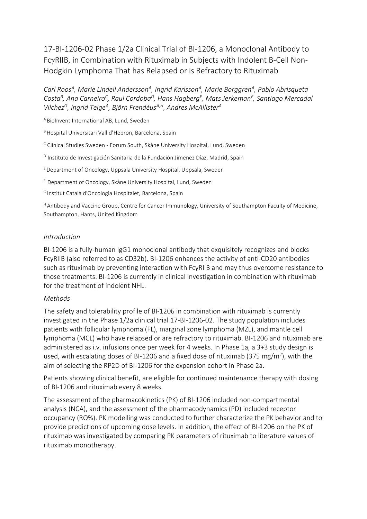17-BI-1206-02 Phase 1/2a Clinical Trial of BI-1206, a Monoclonal Antibody to FcRIIB, in Combination with Rituximab in Subjects with Indolent B-Cell Non-Hodgkin Lymphoma That has Relapsed or is Refractory to Rituximab

*Carl Roos<sup>A</sup> , Marie Lindell Andersson<sup>A</sup> , Ingrid Karlsson<sup>A</sup> , Marie Borggren<sup>A</sup> , Pablo Abrisqueta Costa<sup>B</sup> , Ana Carneiro<sup>C</sup> , Raul Cordoba<sup>D</sup> , Hans Hagberg<sup>E</sup> , Mats Jerkeman<sup>F</sup> , Santiago Mercadal Vilchez<sup>G</sup> , Ingrid Teige<sup>A</sup> , Björn FrendéusA,H , Andres McAllister<sup>A</sup>*

<sup>A</sup> BioInvent International AB, Lund, Sweden

B Hospital Universitari Vall d'Hebron, Barcelona, Spain

 $c$  Clinical Studies Sweden - Forum South, Skåne University Hospital, Lund, Sweden

<sup>D</sup> Instituto de Investigación Sanitaria de la Fundación Jimenez Díaz, Madrid, Spain

<sup>E</sup>Department of Oncology, Uppsala University Hospital, Uppsala, Sweden

<sup>F</sup> Department of Oncology, Skåne University Hospital, Lund, Sweden

<sup>G</sup>Institut Català d'Oncologia Hospitalet, Barcelona, Spain

<sup>H</sup>Antibody and Vaccine Group, Centre for Cancer Immunology, University of Southampton Faculty of Medicine, Southampton, Hants, United Kingdom

## *Introduction*

BI-1206 is a fully-human IgG1 monoclonal antibody that exquisitely recognizes and blocks FcγRIIB (also referred to as CD32b). BI-1206 enhances the activity of anti-CD20 antibodies such as rituximab by preventing interaction with FcγRIIB and may thus overcome resistance to those treatments. BI-1206 is currently in clinical investigation in combination with rituximab for the treatment of indolent NHL.

## *Methods*

The safety and tolerability profile of BI-1206 in combination with rituximab is currently investigated in the Phase 1/2a clinical trial 17-BI-1206-02. The study population includes patients with follicular lymphoma (FL), marginal zone lymphoma (MZL), and mantle cell lymphoma (MCL) who have relapsed or are refractory to rituximab. BI-1206 and rituximab are administered as i.v. infusions once per week for 4 weeks. In Phase 1a, a 3+3 study design is used, with escalating doses of BI-1206 and a fixed dose of rituximab (375 mg/m<sup>2</sup>), with the aim of selecting the RP2D of BI-1206 for the expansion cohort in Phase 2a.

Patients showing clinical benefit, are eligible for continued maintenance therapy with dosing of BI-1206 and rituximab every 8 weeks.

The assessment of the pharmacokinetics (PK) of BI-1206 included non-compartmental analysis (NCA), and the assessment of the pharmacodynamics (PD) included receptor occupancy (RO%). PK modelling was conducted to further characterize the PK behavior and to provide predictions of upcoming dose levels. In addition, the effect of BI-1206 on the PK of rituximab was investigated by comparing PK parameters of rituximab to literature values of rituximab monotherapy.